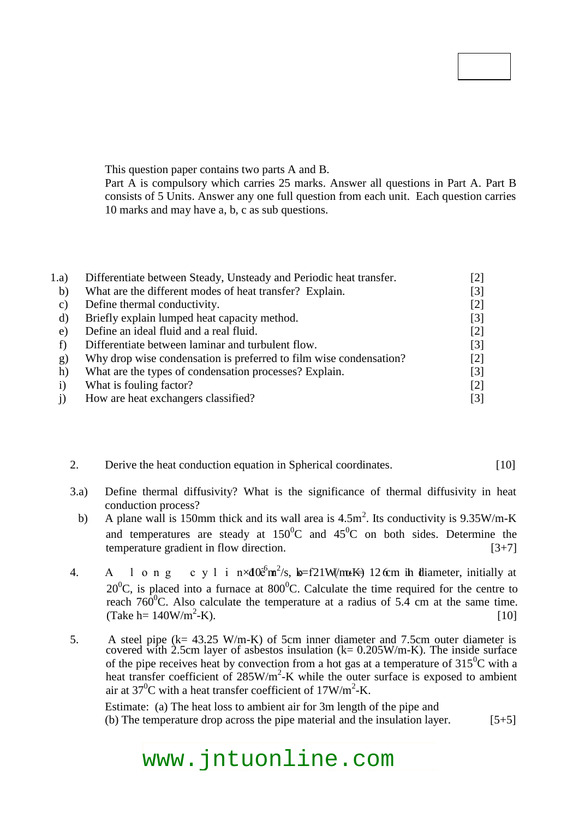# **Code No: 126EF JAWAHARLAL NEHRU TECHNOLOGICAL UNIVERSITY HYDERABAD B. Tech III Year II Semester Examinations, October/November - 2016 HEAT TRANSFER (Common to ME, AME, MSNT)**

## **Time: 3 hours Max. Marks: 75**

**Note:** This question paper contains two parts A and B.

Part A is compulsory which carries 25 marks. Answer all questions in Part A. Part B consists of 5 Units. Answer any one full question from each unit. Each question carries 10 marks and may have a, b, c as sub questions.

# **PART - A**

# **(25 Marks)**

| 1.a)                         | Differentiate between Steady, Unsteady and Periodic heat transfer. |                   |
|------------------------------|--------------------------------------------------------------------|-------------------|
| b)                           | What are the different modes of heat transfer? Explain.            | $[3]$             |
| $\mathcal{C}$ )              | Define thermal conductivity.                                       | $\lceil 2 \rceil$ |
| d)                           | Briefly explain lumped heat capacity method.                       | $[3]$             |
| e)                           | Define an ideal fluid and a real fluid.                            | $[2]$             |
|                              | Differentiate between laminar and turbulent flow.                  | $\lceil 3 \rceil$ |
| g)                           | Why drop wise condensation is preferred to film wise condensation? | $\lceil 2 \rceil$ |
| h)                           | What are the types of condensation processes? Explain.             | $[3]$             |
| $\left( \frac{1}{2} \right)$ | What is fouling factor?                                            | [2]               |
|                              | How are heat exchangers classified?                                | $[3]$             |

# **PART - B**

### **(50 Marks)**

- 2. Derive the heat conduction equation in Spherical coordinates. [10] **OR**
- 3.a) Define thermal diffusivity? What is the significance of thermal diffusivity in heat conduction process?
- b) A plane wall is 150mm thick and its wall area is  $4.5 \text{m}^2$ . Its conductivity is  $9.35 \text{W/m-K}$ and temperatures are steady at  $150^{\circ}$ C and  $45^{\circ}$ C on both sides. Determine the temperature gradient in flow direction.  $[3+7]$
- 4. A long cylinder of  $(\alpha = 6.11 \times 10^{-6} \text{m}^2/\text{s}, k = 21 \text{W/m-K})$  12 cm in diameter, initially at  $20^{\circ}$ C, is placed into a furnace at 800<sup>°</sup>C. Calculate the time required for the centre to reach  $760^{\circ}$ C. Also calculate the temperature at a radius of 5.4 cm at the same time. (Take h=  $140W/m^2-K$ ).  $-K$ ). [10]
	- **OR**
- 5. A steel pipe (k= 43.25 W/m-K) of 5cm inner diameter and 7.5cm outer diameter is covered with 2.5cm layer of asbestos insulation ( $k= 0.205 W/m-K$ ). The inside surface of the pipe receives heat by convection from a hot gas at a temperature of  $315^{\circ}$ C with a heat transfer coefficient of  $285W/m^2-K$  while the outer surface is exposed to ambient air at  $37^0$ C with a heat transfer coefficient of  $17W/m^2$ -K.

Estimate: (a) The heat loss to ambient air for 3m length of the pipe and (b) The temperature drop across the pipe material and the insulation layer.  $[5+5]$ 

# www.jntuonline.com

**R13**